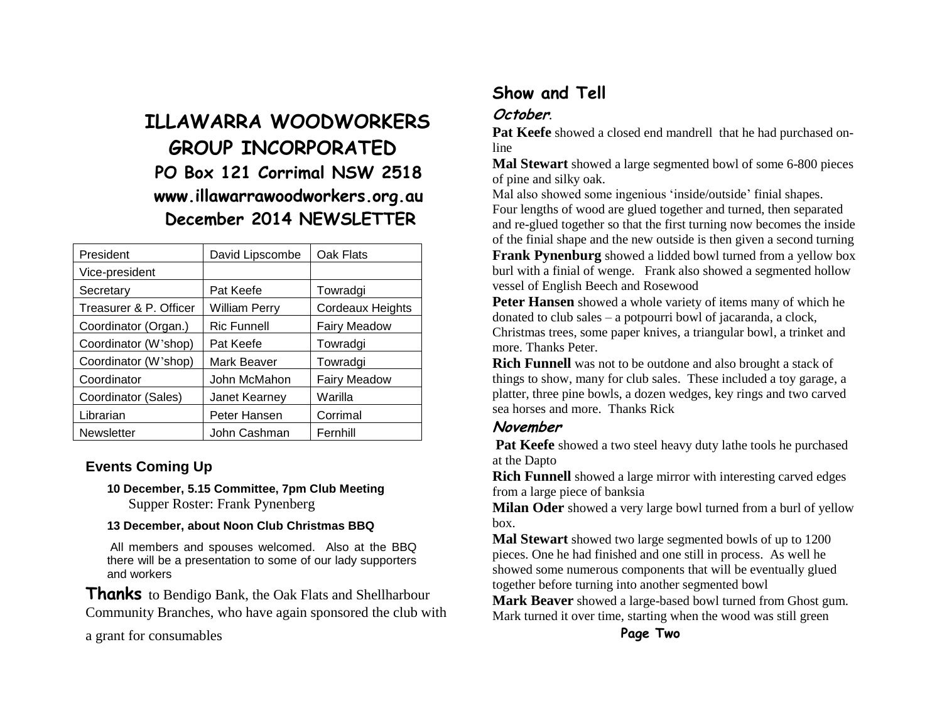# **ILLAWARRA WOODWORKERS GROUP INCORPORATED PO Box 121 Corrimal NSW 2518 www.illawarrawoodworkers.org.au December 2014 NEWSLETTER**

| President              | David Lipscombe    | Oak Flats               |
|------------------------|--------------------|-------------------------|
| Vice-president         |                    |                         |
| Secretary              | Pat Keefe          | Towradgi                |
| Treasurer & P. Officer | William Perry      | <b>Cordeaux Heights</b> |
| Coordinator (Organ.)   | <b>Ric Funnell</b> | <b>Fairy Meadow</b>     |
| Coordinator (W'shop)   | Pat Keefe          | Towradgi                |
| Coordinator (W'shop)   | Mark Beaver        | Towradgi                |
| Coordinator            | John McMahon       | <b>Fairy Meadow</b>     |
| Coordinator (Sales)    | Janet Kearney      | Warilla                 |
| Librarian              | Peter Hansen       | Corrimal                |
| Newsletter             | John Cashman       | Fernhill                |

### **Events Coming Up**

**10 December, 5.15 Committee, 7pm Club Meeting** Supper Roster: Frank Pynenberg

#### **13 December, about Noon Club Christmas BBQ**

All members and spouses welcomed. Also at the BBQ there will be a presentation to some of our lady supporters and workers

**Thanks** to Bendigo Bank, the Oak Flats and Shellharbour Community Branches, who have again sponsored the club with

a grant for consumables

## **Show and Tell**

#### **October**.

**Pat Keefe** showed a closed end mandrell that he had purchased online

**Mal Stewart** showed a large segmented bowl of some 6-800 pieces of pine and silky oak.

Mal also showed some ingenious 'inside/outside' finial shapes. Four lengths of wood are glued together and turned, then separated and re-glued together so that the first turning now becomes the inside of the finial shape and the new outside is then given a second turning

**Frank Pynenburg** showed a lidded bowl turned from a yellow box burl with a finial of wenge. Frank also showed a segmented hollow vessel of English Beech and Rosewood

**Peter Hansen** showed a whole variety of items many of which he donated to club sales – a potpourri bowl of jacaranda, a clock, Christmas trees, some paper knives, a triangular bowl, a trinket and more. Thanks Peter.

**Rich Funnell** was not to be outdone and also brought a stack of things to show, many for club sales. These included a toy garage, a platter, three pine bowls, a dozen wedges, key rings and two carved sea horses and more. Thanks Rick

#### **November**

**Pat Keefe** showed a two steel heavy duty lathe tools he purchased at the Dapto

**Rich Funnell** showed a large mirror with interesting carved edges from a large piece of banksia

**Milan Oder** showed a very large bowl turned from a burl of yellow box.

**Mal Stewart** showed two large segmented bowls of up to 1200 pieces. One he had finished and one still in process. As well he showed some numerous components that will be eventually glued together before turning into another segmented bowl

**Mark Beaver** showed a large-based bowl turned from Ghost gum. Mark turned it over time, starting when the wood was still green

### **Page Two**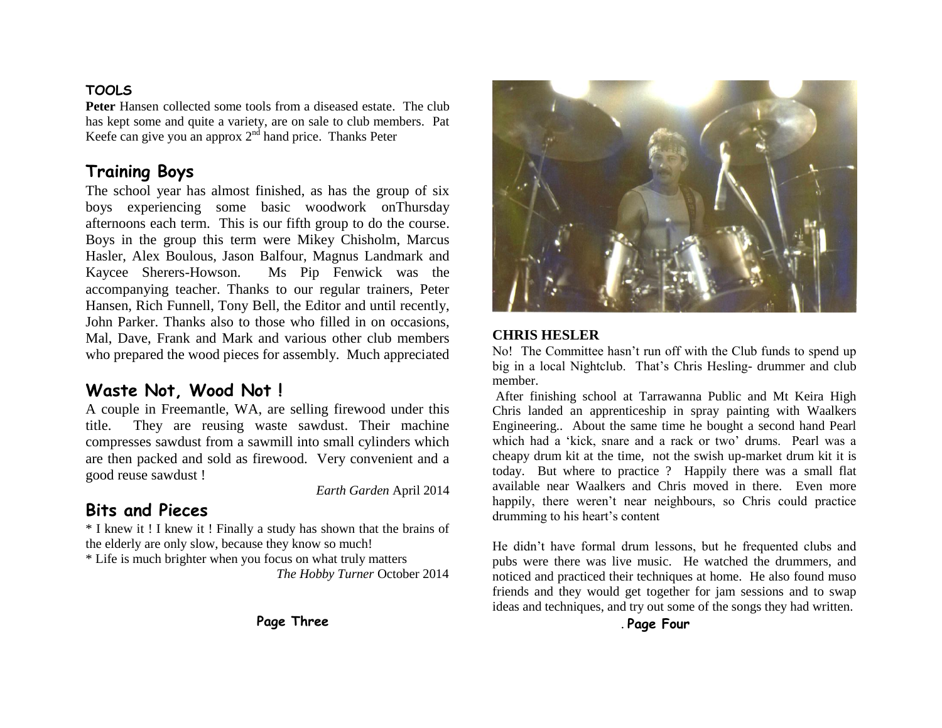## **TOOLS**

**Peter** Hansen collected some tools from a diseased estate. The club has kept some and quite a variety, are on sale to club members. Pat Keefe can give you an approx  $2<sup>nd</sup>$  hand price. Thanks Peter

## **Training Boys**

The school year has almost finished, as has the group of six boys experiencing some basic woodwork onThursday afternoons each term. This is our fifth group to do the course. Boys in the group this term were Mikey Chisholm, Marcus Hasler, Alex Boulous, Jason Balfour, Magnus Landmark and Kaycee Sherers-Howson. Ms Pip Fenwick was the accompanying teacher. Thanks to our regular trainers, Peter Hansen, Rich Funnell, Tony Bell, the Editor and until recently, John Parker. Thanks also to those who filled in on occasions, Mal, Dave, Frank and Mark and various other club members who prepared the wood pieces for assembly. Much appreciated

## **Waste Not, Wood Not !**

A couple in Freemantle, WA, are selling firewood under this title. They are reusing waste sawdust. Their machine compresses sawdust from a sawmill into small cylinders which are then packed and sold as firewood. Very convenient and a good reuse sawdust !

*Earth Garden* April 2014

## **Bits and Pieces**

\* I knew it ! I knew it ! Finally a study has shown that the brains of the elderly are only slow, because they know so much!

\* Life is much brighter when you focus on what truly matters

*The Hobby Turner* October 2014



### **CHRIS HESLER**

No! The Committee hasn't run off with the Club funds to spend up big in a local Nightclub. That's Chris Hesling- drummer and club member.

After finishing school at Tarrawanna Public and Mt Keira High Chris landed an apprenticeship in spray painting with Waalkers Engineering.. About the same time he bought a second hand Pearl which had a 'kick, snare and a rack or two' drums. Pearl was a cheapy drum kit at the time, not the swish up-market drum kit it is today. But where to practice ? Happily there was a small flat available near Waalkers and Chris moved in there. Even more happily, there weren't near neighbours, so Chris could practice drumming to his heart's content

He didn't have formal drum lessons, but he frequented clubs and pubs were there was live music. He watched the drummers, and noticed and practiced their techniques at home. He also found muso friends and they would get together for jam sessions and to swap ideas and techniques, and try out some of the songs they had written.

. **Page Four**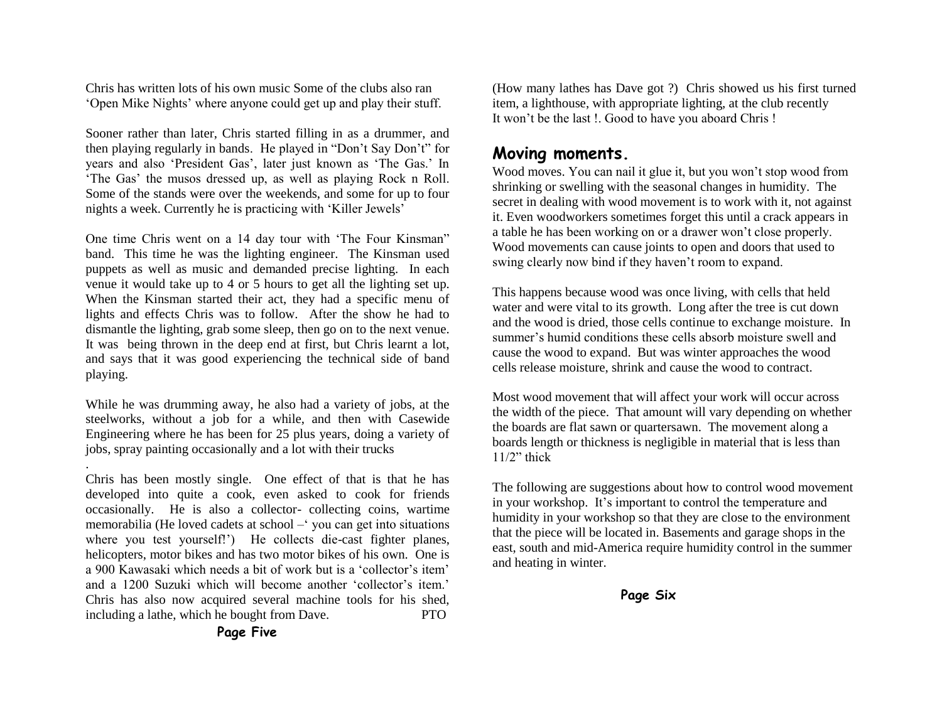Chris has written lots of his own music Some of the clubs also ran 'Open Mike Nights' where anyone could get up and play their stuff.

Sooner rather than later, Chris started filling in as a drummer, and then playing regularly in bands. He played in "Don't Say Don't" for years and also 'President Gas', later just known as 'The Gas.' In 'The Gas' the musos dressed up, as well as playing Rock n Roll. Some of the stands were over the weekends, and some for up to four nights a week. Currently he is practicing with 'Killer Jewels'

One time Chris went on a 14 day tour with 'The Four Kinsman" band. This time he was the lighting engineer. The Kinsman used puppets as well as music and demanded precise lighting. In each venue it would take up to 4 or 5 hours to get all the lighting set up. When the Kinsman started their act, they had a specific menu of lights and effects Chris was to follow. After the show he had to dismantle the lighting, grab some sleep, then go on to the next venue. It was being thrown in the deep end at first, but Chris learnt a lot, and says that it was good experiencing the technical side of band playing.

While he was drumming away, he also had a variety of jobs, at the steelworks, without a job for a while, and then with Casewide Engineering where he has been for 25 plus years, doing a variety of jobs, spray painting occasionally and a lot with their trucks

.

Chris has been mostly single. One effect of that is that he has developed into quite a cook, even asked to cook for friends occasionally. He is also a collector- collecting coins, wartime memorabilia (He loved cadets at school –' you can get into situations where you test yourself!') He collects die-cast fighter planes, helicopters, motor bikes and has two motor bikes of his own. One is a 900 Kawasaki which needs a bit of work but is a 'collector's item' and a 1200 Suzuki which will become another 'collector's item.' Chris has also now acquired several machine tools for his shed, including a lathe, which he bought from Dave. PTO

(How many lathes has Dave got ?) Chris showed us his first turned item, a lighthouse, with appropriate lighting, at the club recently It won't be the last !. Good to have you aboard Chris !

## **Moving moments.**

Wood moves. You can nail it glue it, but you won't stop wood from shrinking or swelling with the seasonal changes in humidity. The secret in dealing with wood movement is to work with it, not against it. Even woodworkers sometimes forget this until a crack appears in a table he has been working on or a drawer won't close properly. Wood movements can cause joints to open and doors that used to swing clearly now bind if they haven't room to expand.

This happens because wood was once living, with cells that held water and were vital to its growth. Long after the tree is cut down and the wood is dried, those cells continue to exchange moisture. In summer's humid conditions these cells absorb moisture swell and cause the wood to expand. But was winter approaches the wood cells release moisture, shrink and cause the wood to contract.

Most wood movement that will affect your work will occur across the width of the piece. That amount will vary depending on whether the boards are flat sawn or quartersawn. The movement along a boards length or thickness is negligible in material that is less than  $11/2$ " thick

The following are suggestions about how to control wood movement in your workshop. It's important to control the temperature and humidity in your workshop so that they are close to the environment that the piece will be located in. Basements and garage shops in the east, south and mid-America require humidity control in the summer and heating in winter.